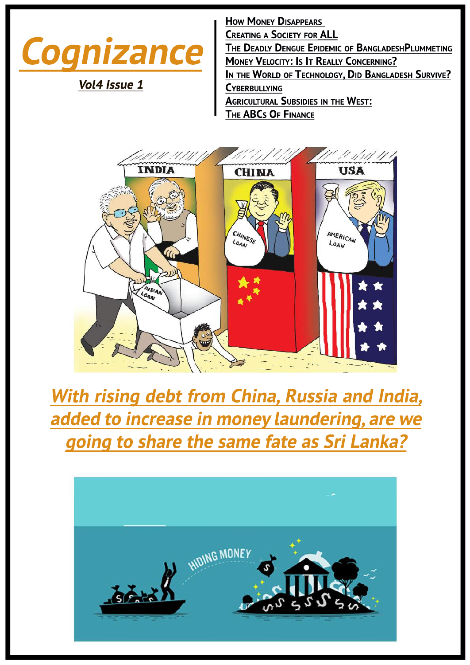

Vol4 Issue 1

**HOW MONEY DISAPPEARS CREATING A SOCIETY FOR ALL** THE DEADLY DENGUE EPIDEMIC OF BANGLADESHPLUMMETING **MONEY VELOCITY: IS IT REALLY CONCERNING?** IN THE WORLD OF TECHNOLOGY, DID BANGLADESH SURVIVE? **CYBERBULLYING AGRICULTURAL SUBSIDIES IN THE WEST:** THE ABCs OF FINANCE



## With rising debt from China, Russia and India, added to increase in money laundering, are we going to share the same fate as Sri Lanka?

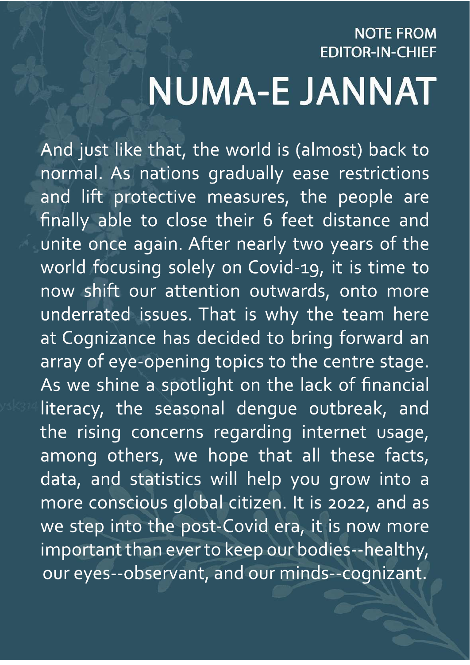# **NOTE FROM EDITOR-IN-CHIEF NUMA-E JANNAT**

And just like that, the world is (almost) back to normal. As nations gradually ease restrictions and lift protective measures, the people are finally able to close their 6 feet distance and unite once again. After nearly two years of the world focusing solely on Covid-19, it is time to now shift our attention outwards, onto more underrated issues. That is why the team here at Cognizance has decided to bring forward an array of eye-opening topics to the centre stage. As we shine a spotlight on the lack of financial literacy, the seasonal dengue outbreak, and the rising concerns regarding internet usage, among others, we hope that all these facts, data, and statistics will help you grow into a more conscious global citizen. It is 2022, and as we step into the post-Covid era, it is now more important than ever to keep our bodies--healthy, our eyes--observant, and our minds--cognizant.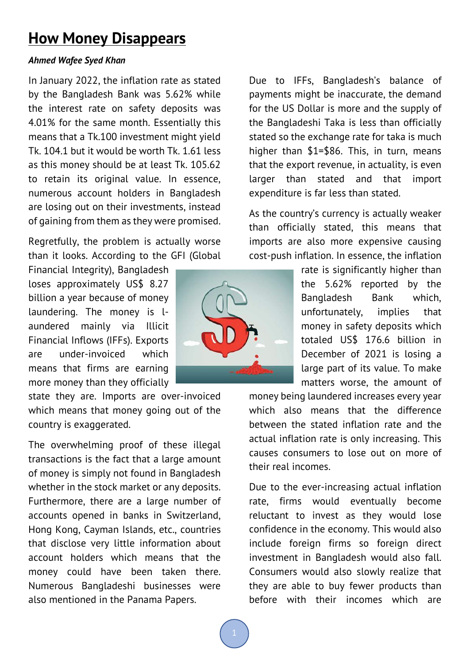### **How Money Disappears**

#### *Ahmed Wafee Syed Khan*

In January 2022, the inflation rate as stated by the Bangladesh Bank was 5.62% while the interest rate on safety deposits was 4.01% for the same month. Essentially this means that a Tk.100 investment might yield Tk. 104.1 but it would be worth Tk. 1.61 less as this money should be at least Tk. 105.62 to retain its original value. In essence, numerous account holders in Bangladesh are losing out on their investments, instead of gaining from them as they were promised.

Regretfully, the problem is actually worse than it looks. According to the GFI (Global

Financial Integrity), Bangladesh loses approximately US\$ 8.27 billion a year because of money laundering. The money is laundered mainly via Illicit Financial Inflows (IFFs). Exports are under-invoiced which means that firms are earning more money than they officially

state they are. Imports are over-invoiced which means that money going out of the country is exaggerated.

The overwhelming proof of these illegal transactions is the fact that a large amount of money is simply not found in Bangladesh whether in the stock market or any deposits. Furthermore, there are a large number of accounts opened in banks in Switzerland, Hong Kong, Cayman Islands, etc., countries that disclose very little information about account holders which means that the money could have been taken there. Numerous Bangladeshi businesses were also mentioned in the Panama Papers.



Due to IFFs, Bangladesh's balance of payments might be inaccurate, the demand for the US Dollar is more and the supply of the Bangladeshi Taka is less than officially stated so the exchange rate for taka is much higher than \$1=\$86. This, in turn, means that the export revenue, in actuality, is even larger than stated and that import expenditure is far less than stated.

As the country's currency is actually weaker than officially stated, this means that imports are also more expensive causing cost-push inflation. In essence, the inflation

> rate is significantly higher than the 5.62% reported by the Bangladesh Bank which, unfortunately, implies that money in safety deposits which totaled US\$ 176.6 billion in December of 2021 is losing a large part of its value. To make matters worse, the amount of

money being laundered increases every year which also means that the difference between the stated inflation rate and the actual inflation rate is only increasing. This causes consumers to lose out on more of their real incomes.

Due to the ever-increasing actual inflation rate, firms would eventually become reluctant to invest as they would lose confidence in the economy. This would also include foreign firms so foreign direct investment in Bangladesh would also fall. Consumers would also slowly realize that they are able to buy fewer products than before with their incomes which are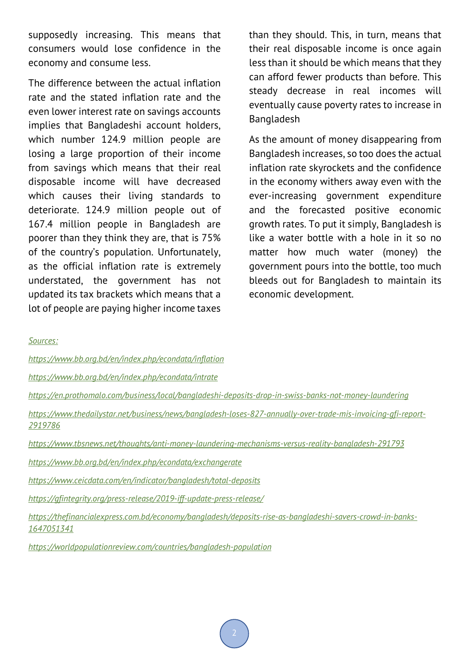supposedly increasing. This means that consumers would lose confidence in the economy and consume less.

The difference between the actual inflation rate and the stated inflation rate and the even lower interest rate on savings accounts implies that Bangladeshi account holders, which number 124.9 million people are losing a large proportion of their income from savings which means that their real disposable income will have decreased which causes their living standards to deteriorate. 124.9 million people out of 167.4 million people in Bangladesh are poorer than they think they are, that is 75% of the country's population. Unfortunately, as the official inflation rate is extremely understated, the government has not updated its tax brackets which means that a lot of people are paying higher income taxes

than they should. This, in turn, means that their real disposable income is once again less than it should be which means that they can afford fewer products than before. This steady decrease in real incomes will eventually cause poverty rates to increase in Bangladesh

As the amount of money disappearing from Bangladesh increases, so too does the actual inflation rate skyrockets and the confidence in the economy withers away even with the ever-increasing government expenditure and the forecasted positive economic growth rates. To put it simply, Bangladesh is like a water bottle with a hole in it so no matter how much water (money) the government pours into the bottle, too much bleeds out for Bangladesh to maintain its economic development.

*Sources:*

*https://www.bb.org.bd/en/index.php/econdata/inflation*

*https://www.bb.org.bd/en/index.php/econdata/intrate*

*https://en.prothomalo.com/business/local/bangladeshi-deposits-drop-in-swiss-banks-not-money-laundering*

*https://www.thedailystar.net/business/news/bangladesh-loses-827-annually-over-trade-mis-invoicing-gfi-report-2919786*

*https://www.tbsnews.net/thoughts/anti-money-laundering-mechanisms-versus-reality-bangladesh-291793*

*https://www.bb.org.bd/en/index.php/econdata/exchangerate*

*https://www.ceicdata.com/en/indicator/bangladesh/total-deposits*

*https://gfintegrity.org/press-release/2019-iff-update-press-release/*

*https://thefinancialexpress.com.bd/economy/bangladesh/deposits-rise-as-bangladeshi-savers-crowd-in-banks-1647051341*

*https://worldpopulationreview.com/countries/bangladesh-population*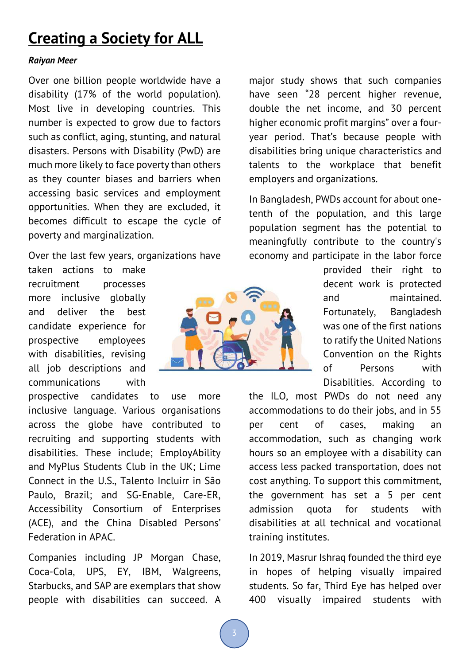### **Creating a Society for ALL**

#### *Raiyan Meer*

Over one billion people worldwide have a disability (17% of the world population). Most live in developing countries. This number is expected to grow due to factors such as conflict, aging, stunting, and natural disasters. Persons with Disability (PwD) are much more likely to face poverty than others as they counter biases and barriers when accessing basic services and employment opportunities. When they are excluded, it becomes difficult to escape the cycle of poverty and marginalization.

Over the last few years, organizations have

taken actions to make recruitment processes more inclusive globally and deliver the best candidate experience for prospective employees with disabilities, revising all job descriptions and communications with

prospective candidates to use more inclusive language. Various organisations across the globe have contributed to recruiting and supporting students with disabilities. These include; EmployAbility and MyPlus Students Club in the UK; Lime Connect in the U.S., Talento Incluirr in São Paulo, Brazil; and SG-Enable, Care-ER, Accessibility Consortium of Enterprises (ACE), and the China Disabled Persons' Federation in APAC.

Companies including JP Morgan Chase, Coca-Cola, UPS, EY, IBM, Walgreens, Starbucks, and SAP are exemplars that show people with disabilities can succeed. A



major study shows that such companies have seen "28 percent higher revenue, double the net income, and 30 percent higher economic profit margins" over a fouryear period. That's because people with disabilities bring unique characteristics and talents to the workplace that benefit employers and organizations.

In Bangladesh, PWDs account for about onetenth of the population, and this large population segment has the potential to meaningfully contribute to the country's economy and participate in the labor force

> provided their right to decent work is protected and maintained. Fortunately, Bangladesh was one of the first nations to ratify the United Nations Convention on the Rights of Persons with Disabilities. According to

the ILO, most PWDs do not need any accommodations to do their jobs, and in 55 per cent of cases, making an accommodation, such as changing work hours so an employee with a disability can access less packed transportation, does not cost anything. To support this commitment, the government has set a 5 per cent admission quota for students with disabilities at all technical and vocational training institutes.

In 2019, Masrur Ishraq founded the third eye in hopes of helping visually impaired students. So far, Third Eye has helped over 400 visually impaired students with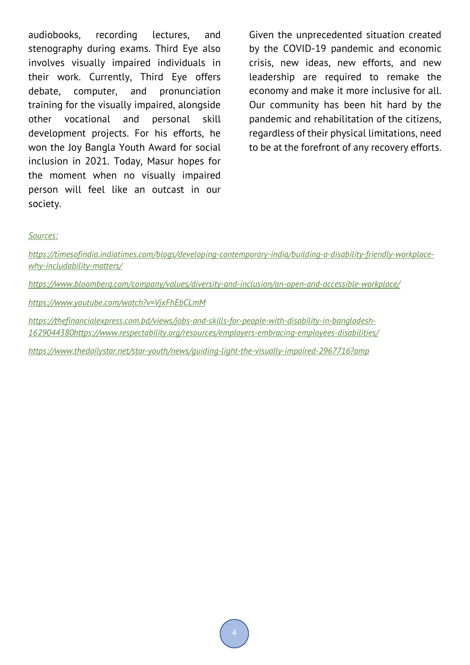audiobooks, recording lectures, and stenography during exams. Third Eye also involves visually impaired individuals in their work. Currently, Third Eye offers debate, computer, and pronunciation training for the visually impaired, alongside other vocational and personal skill development projects. For his efforts, he won the Joy Bangla Youth Award for social inclusion in 2021. Today, Masur hopes for the moment when no visually impaired person will feel like an outcast in our society.

Given the unprecedented situation created by the COVID-19 pandemic and economic crisis, new ideas, new efforts, and new leadership are required to remake the economy and make it more inclusive for all. Our community has been hit hard by the pandemic and rehabilitation of the citizens, regardless of their physical limitations, need to be at the forefront of any recovery efforts.

#### *Sources:*

*https://timesofindia.indiatimes.com/blogs/developing-contemporary-india/building-a-disability-friendly-workplacewhy-includability-matters/ https://www.bloomberg.com/company/values/diversity-and-inclusion/an-open-and-accessible-workplace/ https://www.youtube.com/watch?v=VjxFhEbCLmM https://thefinancialexpress.com.bd/views/jobs-and-skills-for-people-with-disability-in-bangladesh-1629044380https://www.respectability.org/resources/employers-embracing-employees-disabilities/ https://www.thedailystar.net/star-youth/news/guiding-light-the-visually-impaired-2967716?amp*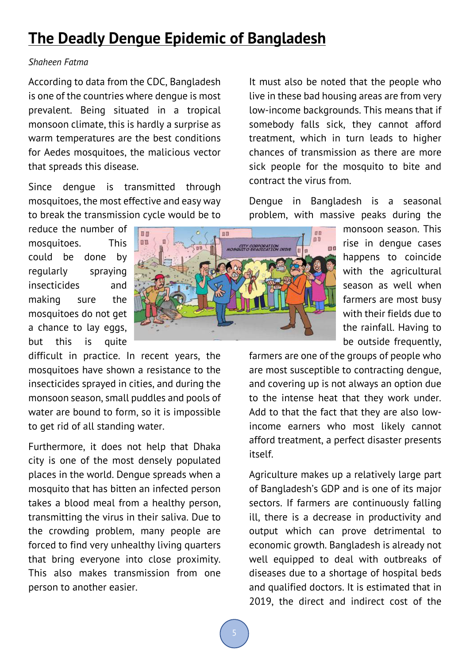### **The Deadly Dengue Epidemic of Bangladesh**

#### *Shaheen Fatma*

According to data from the CDC, Bangladesh is one of the countries where dengue is most prevalent. Being situated in a tropical monsoon climate, this is hardly a surprise as warm temperatures are the best conditions for Aedes mosquitoes, the malicious vector that spreads this disease.

Since dengue is transmitted through mosquitoes, the most effective and easy way to break the transmission cycle would be to

reduce the number of mosquitoes. This could be done by regularly spraying insecticides and making sure the mosquitoes do not get a chance to lay eggs, but this is quite

difficult in practice. In recent years, the mosquitoes have shown a resistance to the insecticides sprayed in cities, and during the monsoon season, small puddles and pools of water are bound to form, so it is impossible to get rid of all standing water.

Furthermore, it does not help that Dhaka city is one of the most densely populated places in the world. Dengue spreads when a mosquito that has bitten an infected person takes a blood meal from a healthy person, transmitting the virus in their saliva. Due to the crowding problem, many people are forced to find very unhealthy living quarters that bring everyone into close proximity. This also makes transmission from one person to another easier.



It must also be noted that the people who live in these bad housing areas are from very low-income backgrounds. This means that if somebody falls sick, they cannot afford treatment, which in turn leads to higher chances of transmission as there are more sick people for the mosquito to bite and contract the virus from.

Dengue in Bangladesh is a seasonal problem, with massive peaks during the

> monsoon season. This rise in dengue cases happens to coincide with the agricultural season as well when farmers are most busy with their fields due to the rainfall. Having to be outside frequently,

farmers are one of the groups of people who are most susceptible to contracting dengue, and covering up is not always an option due to the intense heat that they work under. Add to that the fact that they are also lowincome earners who most likely cannot afford treatment, a perfect disaster presents itself.

Agriculture makes up a relatively large part of Bangladesh's GDP and is one of its major sectors. If farmers are continuously falling ill, there is a decrease in productivity and output which can prove detrimental to economic growth. Bangladesh is already not well equipped to deal with outbreaks of diseases due to a shortage of hospital beds and qualified doctors. It is estimated that in 2019, the direct and indirect cost of the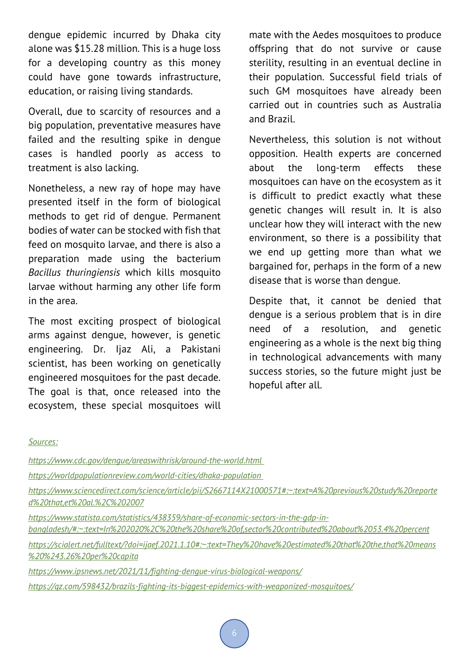dengue epidemic incurred by Dhaka city alone was \$15.28 million. This is a huge loss for a developing country as this money could have gone towards infrastructure, education, or raising living standards.

Overall, due to scarcity of resources and a big population, preventative measures have failed and the resulting spike in dengue cases is handled poorly as access to treatment is also lacking.

Nonetheless, a new ray of hope may have presented itself in the form of biological methods to get rid of dengue. Permanent bodies of water can be stocked with fish that feed on mosquito larvae, and there is also a preparation made using the bacterium *Bacillus thuringiensis* which kills mosquito larvae without harming any other life form in the area.

The most exciting prospect of biological arms against dengue, however, is genetic engineering. Dr. Ijaz Ali, a Pakistani scientist, has been working on genetically engineered mosquitoes for the past decade. The goal is that, once released into the ecosystem, these special mosquitoes will

mate with the Aedes mosquitoes to produce offspring that do not survive or cause sterility, resulting in an eventual decline in their population. Successful field trials of such GM mosquitoes have already been carried out in countries such as Australia and Brazil.

Nevertheless, this solution is not without opposition. Health experts are concerned about the long-term effects these mosquitoes can have on the ecosystem as it is difficult to predict exactly what these genetic changes will result in. It is also unclear how they will interact with the new environment, so there is a possibility that we end up getting more than what we bargained for, perhaps in the form of a new disease that is worse than dengue.

Despite that, it cannot be denied that dengue is a serious problem that is in dire need of a resolution, and genetic engineering as a whole is the next big thing in technological advancements with many success stories, so the future might just be hopeful after all.

#### *Sources:*

*https://www.cdc.gov/dengue/areaswithrisk/around-the-world.html* 

*https://worldpopulationreview.com/world-cities/dhaka-population* 

*https://www.sciencedirect.com/science/article/pii/S2667114X21000571#:~:text=A%20previous%20study%20reporte d%20that,et%20al.%2C%202007*

*https://www.statista.com/statistics/438359/share-of-economic-sectors-in-the-gdp-in-*

*bangladesh/#:~:text=In%202020%2C%20the%20share%20of,sector%20contributed%20about%2053.4%20percent*

*https://scialert.net/fulltext/?doi=ijaef.2021.1.10#:~:text=They%20have%20estimated%20that%20the,that%20means %20%243.26%20per%20capita*

*https://www.ipsnews.net/2021/11/fighting-dengue-virus-biological-weapons/*

*https://qz.com/598432/brazils-fighting-its-biggest-epidemics-with-weaponized-mosquitoes/*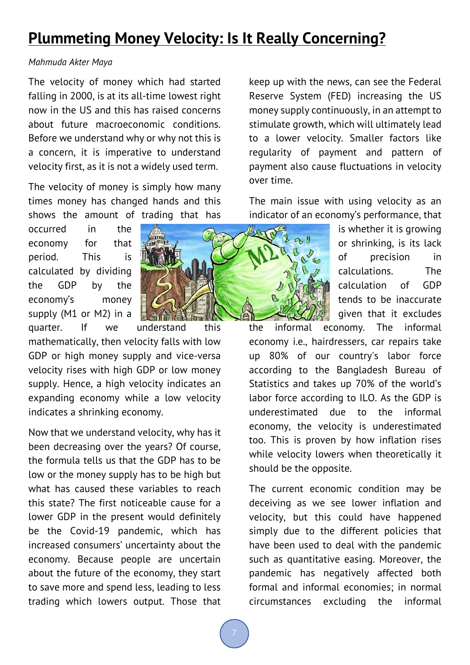### **Plummeting Money Velocity: Is It Really Concerning?**

#### *Mahmuda Akter Maya*

The velocity of money which had started falling in 2000, is at its all-time lowest right now in the US and this has raised concerns about future macroeconomic conditions. Before we understand why or why not this is a concern, it is imperative to understand velocity first, as it is not a widely used term.

The velocity of money is simply how many times money has changed hands and this shows the amount of trading that has

occurred in the economy for that period. This is calculated by dividing the GDP by the economy's money supply (M1 or M2) in a



quarter. If we understand this mathematically, then velocity falls with low GDP or high money supply and vice-versa velocity rises with high GDP or low money supply. Hence, a high velocity indicates an expanding economy while a low velocity indicates a shrinking economy.

Now that we understand velocity, why has it been decreasing over the years? Of course, the formula tells us that the GDP has to be low or the money supply has to be high but what has caused these variables to reach this state? The first noticeable cause for a lower GDP in the present would definitely be the Covid-19 pandemic, which has increased consumers' uncertainty about the economy. Because people are uncertain about the future of the economy, they start to save more and spend less, leading to less trading which lowers output. Those that

keep up with the news, can see the Federal Reserve System (FED) increasing the US money supply continuously, in an attempt to stimulate growth, which will ultimately lead to a lower velocity. Smaller factors like regularity of payment and pattern of payment also cause fluctuations in velocity over time.

The main issue with using velocity as an indicator of an economy's performance, that

> is whether it is growing or shrinking, is its lack of precision in calculations. The calculation of GDP tends to be inaccurate given that it excludes

the informal economy. The informal economy i.e., hairdressers, car repairs take up 80% of our country's labor force according to the Bangladesh Bureau of Statistics and takes up 70% of the world's labor force according to ILO. As the GDP is underestimated due to the informal economy, the velocity is underestimated too. This is proven by how inflation rises while velocity lowers when theoretically it should be the opposite.

The current economic condition may be deceiving as we see lower inflation and velocity, but this could have happened simply due to the different policies that have been used to deal with the pandemic such as quantitative easing. Moreover, the pandemic has negatively affected both formal and informal economies; in normal circumstances excluding the informal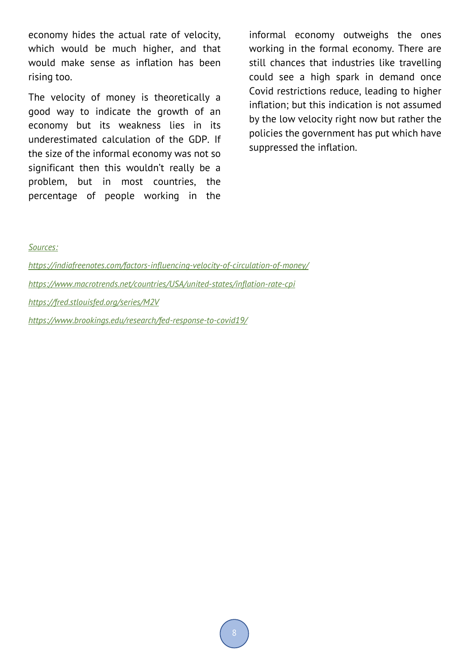economy hides the actual rate of velocity, which would be much higher, and that would make sense as inflation has been rising too.

The velocity of money is theoretically a good way to indicate the growth of an economy but its weakness lies in its underestimated calculation of the GDP. If the size of the informal economy was not so significant then this wouldn't really be a problem, but in most countries, the percentage of people working in the

informal economy outweighs the ones working in the formal economy. There are still chances that industries like travelling could see a high spark in demand once Covid restrictions reduce, leading to higher inflation; but this indication is not assumed by the low velocity right now but rather the policies the government has put which have suppressed the inflation.

*Sources:*

*https://indiafreenotes.com/factors-influencing-velocity-of-circulation-of-money/ https://www.macrotrends.net/countries/USA/united-states/inflation-rate-cpi https://fred.stlouisfed.org/series/M2V https://www.brookings.edu/research/fed-response-to-covid19/*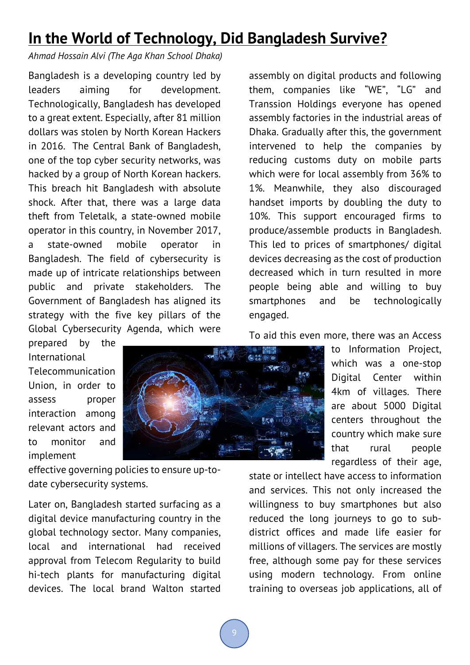### **In the World of Technology, Did Bangladesh Survive?**

*Ahmad Hossain Alvi (The Aga Khan School Dhaka)*

Bangladesh is a developing country led by leaders aiming for development. Technologically, Bangladesh has developed to a great extent. Especially, after 81 million dollars was stolen by North Korean Hackers in 2016. The Central Bank of Bangladesh, one of the top cyber security networks, was hacked by a group of North Korean hackers. This breach hit Bangladesh with absolute shock. After that, there was a large data theft from Teletalk, a state-owned mobile operator in this country, in November 2017, a state-owned mobile operator in Bangladesh. The field of cybersecurity is made up of intricate relationships between public and private stakeholders. The Government of Bangladesh has aligned its strategy with the five key pillars of the Global Cybersecurity Agenda, which were

assembly on digital products and following them, companies like "WE", "LG" and Transsion Holdings everyone has opened assembly factories in the industrial areas of Dhaka. Gradually after this, the government intervened to help the companies by reducing customs duty on mobile parts which were for local assembly from 36% to 1%. Meanwhile, they also discouraged handset imports by doubling the duty to 10%. This support encouraged firms to produce/assemble products in Bangladesh. This led to prices of smartphones/ digital devices decreasing as the cost of production decreased which in turn resulted in more people being able and willing to buy smartphones and be technologically engaged.

prepared by the International Telecommunication Union, in order to assess proper interaction among relevant actors and

to monitor and

implement



effective governing policies to ensure up-todate cybersecurity systems.

Later on, Bangladesh started surfacing as a digital device manufacturing country in the global technology sector. Many companies, local and international had received approval from Telecom Regularity to build hi-tech plants for manufacturing digital devices. The local brand Walton started To aid this even more, there was an Access

to Information Project, which was a one-stop Digital Center within 4km of villages. There are about 5000 Digital centers throughout the country which make sure that rural people regardless of their age,

state or intellect have access to information and services. This not only increased the willingness to buy smartphones but also reduced the long journeys to go to subdistrict offices and made life easier for millions of villagers. The services are mostly free, although some pay for these services using modern technology. From online training to overseas job applications, all of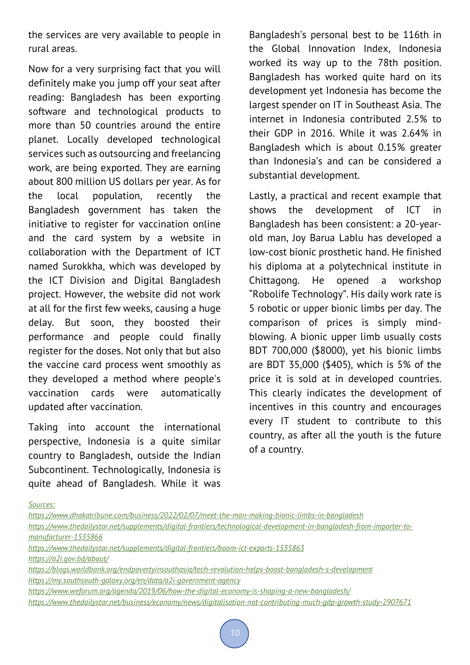the services are very available to people in rural areas.

Now for a very surprising fact that you will definitely make you jump off your seat after reading: Bangladesh has been exporting software and technological products to more than 50 countries around the entire planet. Locally developed technological services such as outsourcing and freelancing work, are being exported. They are earning about 800 million US dollars per year. As for the local population, recently the Bangladesh government has taken the initiative to register for vaccination online and the card system by a website in collaboration with the Department of ICT named Surokkha, which was developed by the ICT Division and Digital Bangladesh project. However, the website did not work at all for the first few weeks, causing a huge delay. But soon, they boosted their performance and people could finally register for the doses. Not only that but also the vaccine card process went smoothly as they developed a method where people's vaccination cards were automatically updated after vaccination.

Taking into account the international perspective, Indonesia is a quite similar country to Bangladesh, outside the Indian Subcontinent. Technologically, Indonesia is quite ahead of Bangladesh. While it was

Bangladesh's personal best to be 116th in the Global Innovation Index, Indonesia worked its way up to the 78th position. Bangladesh has worked quite hard on its development yet Indonesia has become the largest spender on IT in Southeast Asia. The internet in Indonesia contributed 2.5% to their GDP in 2016. While it was 2.64% in Bangladesh which is about 0.15% greater than Indonesia's and can be considered a substantial development.

Lastly, a practical and recent example that shows the development of ICT in Bangladesh has been consistent: a 20-yearold man, Joy Barua Lablu has developed a low-cost bionic prosthetic hand. He finished his diploma at a polytechnical institute in Chittagong. He opened a workshop "Robolife Technology". His daily work rate is 5 robotic or upper bionic limbs per day. The comparison of prices is simply mindblowing. A bionic upper limb usually costs BDT 700,000 (\$8000), yet his bionic limbs are BDT 35,000 (\$405), which is 5% of the price it is sold at in developed countries. This clearly indicates the development of incentives in this country and encourages every IT student to contribute to this country, as after all the youth is the future of a country.

*Sources:*

*https://www.dhakatribune.com/business/2022/02/07/meet-the-man-making-bionic-limbs-in-bangladesh https://www.thedailystar.net/supplements/digital-frontiers/technological-development-in-bangladesh-from-importer-tomanufacturer-1535866 https://www.thedailystar.net/supplements/digital-frontiers/boom-ict-exports-1535863 https://a2i.gov.bd/about/ https://blogs.worldbank.org/endpovertyinsouthasia/tech-revolution-helps-boost-bangladesh-s-development https://my.southsouth-galaxy.org/en/data/a2i-government-agency https://www.weforum.org/agenda/2019/06/how-the-digital-economy-is-shaping-a-new-bangladesh/ https://www.thedailystar.net/business/economy/news/digitalisation-not-contributing-much-gdp-growth-study-2907671*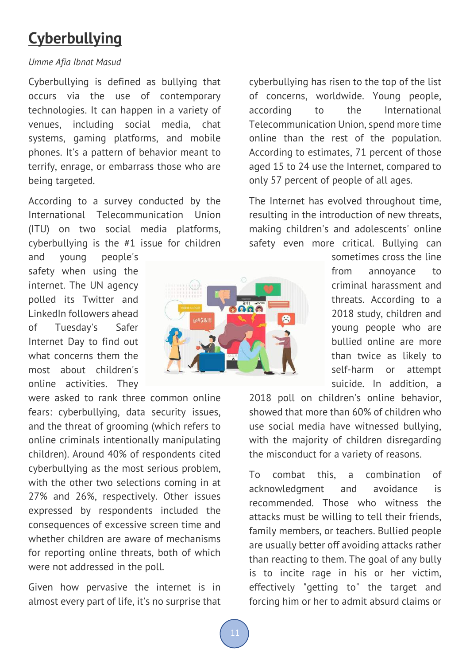### **Cyberbullying**

#### *Umme Afia Ibnat Masud*

Cyberbullying is defined as bullying that occurs via the use of contemporary technologies. It can happen in a variety of venues, including social media, chat systems, gaming platforms, and mobile phones. It's a pattern of behavior meant to terrify, enrage, or embarrass those who are being targeted.

According to a survey conducted by the International Telecommunication Union (ITU) on two social media platforms, cyberbullying is the #1 issue for children

and young people's safety when using the internet. The UN agency polled its Twitter and LinkedIn followers ahead of Tuesday's Safer Internet Day to find out what concerns them the most about children's online activities. They

were asked to rank three common online fears: cyberbullying, data security issues, and the threat of grooming (which refers to online criminals intentionally manipulating children). Around 40% of respondents cited cyberbullying as the most serious problem, with the other two selections coming in at 27% and 26%, respectively. Other issues expressed by respondents included the consequences of excessive screen time and whether children are aware of mechanisms for reporting online threats, both of which were not addressed in the poll.

Given how pervasive the internet is in almost every part of life, it's no surprise that



cyberbullying has risen to the top of the list of concerns, worldwide. Young people, according to the International Telecommunication Union, spend more time online than the rest of the population. According to estimates, 71 percent of those aged 15 to 24 use the Internet, compared to only 57 percent of people of all ages.

The Internet has evolved throughout time, resulting in the introduction of new threats, making children's and adolescents' online safety even more critical. Bullying can

> sometimes cross the line from annoyance to criminal harassment and threats. According to a 2018 study, children and young people who are bullied online are more than twice as likely to self-harm or attempt suicide. In addition, a

2018 poll on children's online behavior, showed that more than 60% of children who use social media have witnessed bullying, with the majority of children disregarding the misconduct for a variety of reasons.

To combat this, a combination of acknowledgment and avoidance is recommended. Those who witness the attacks must be willing to tell their friends, family members, or teachers. Bullied people are usually better off avoiding attacks rather than reacting to them. The goal of any bully is to incite rage in his or her victim, effectively "getting to" the target and forcing him or her to admit absurd claims or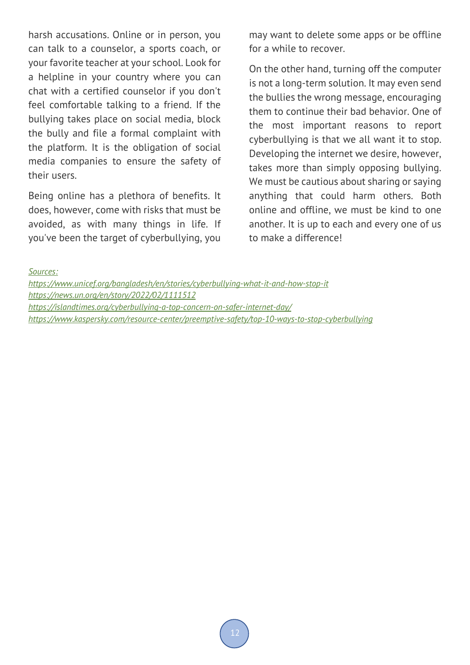harsh accusations. Online or in person, you can talk to a counselor, a sports coach, or your favorite teacher at your school. Look for a helpline in your country where you can chat with a certified counselor if you don't feel comfortable talking to a friend. If the bullying takes place on social media, block the bully and file a formal complaint with the platform. It is the obligation of social media companies to ensure the safety of their users.

Being online has a plethora of benefits. It does, however, come with risks that must be avoided, as with many things in life. If you've been the target of cyberbullying, you may want to delete some apps or be offline for a while to recover.

On the other hand, turning off the computer is not a long-term solution. It may even send the bullies the wrong message, encouraging them to continue their bad behavior. One of the most important reasons to report cyberbullying is that we all want it to stop. Developing the internet we desire, however, takes more than simply opposing bullying. We must be cautious about sharing or saying anything that could harm others. Both online and offline, we must be kind to one another. It is up to each and every one of us to make a difference!

*Sources:*

*https://www.unicef.org/bangladesh/en/stories/cyberbullying-what-it-and-how-stop-it https://news.un.org/en/story/2022/02/1111512 https://islandtimes.org/cyberbullying-a-top-concern-on-safer-internet-day/ https://www.kaspersky.com/resource-center/preemptive-safety/top-10-ways-to-stop-cyberbullying*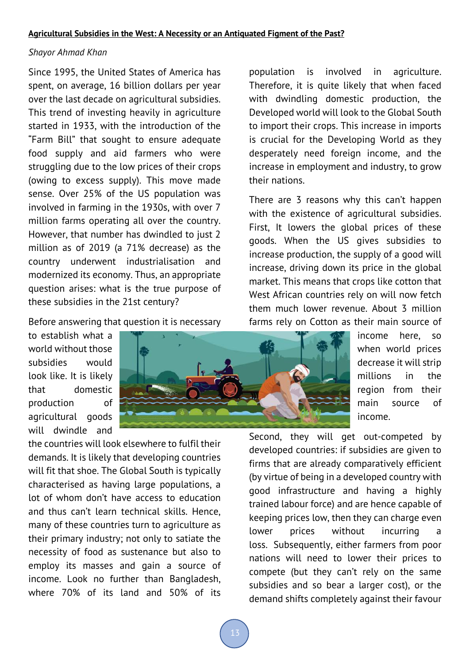#### *Shayor Ahmad Khan*

Since 1995, the United States of America has spent, on average, 16 billion dollars per year over the last decade on agricultural subsidies. This trend of investing heavily in agriculture started in 1933, with the introduction of the "Farm Bill" that sought to ensure adequate food supply and aid farmers who were struggling due to the low prices of their crops (owing to excess supply). This move made sense. Over 25% of the US population was involved in farming in the 1930s, with over 7 million farms operating all over the country. However, that number has dwindled to just 2 million as of 2019 (a 71% decrease) as the country underwent industrialisation and modernized its economy. Thus, an appropriate question arises: what is the true purpose of these subsidies in the 21st century?

Before answering that question it is necessary

to establish what a world without those subsidies would look like. It is likely that domestic production of agricultural goods will dwindle and

the countries will look elsewhere to fulfil their demands. It is likely that developing countries will fit that shoe. The Global South is typically characterised as having large populations, a lot of whom don't have access to education and thus can't learn technical skills. Hence, many of these countries turn to agriculture as their primary industry; not only to satiate the necessity of food as sustenance but also to employ its masses and gain a source of income. Look no further than Bangladesh, where 70% of its land and 50% of its

population is involved in agriculture. Therefore, it is quite likely that when faced with dwindling domestic production, the Developed world will look to the Global South to import their crops. This increase in imports is crucial for the Developing World as they desperately need foreign income, and the increase in employment and industry, to grow their nations.

There are 3 reasons why this can't happen with the existence of agricultural subsidies. First, It lowers the global prices of these goods. When the US gives subsidies to increase production, the supply of a good will increase, driving down its price in the global market. This means that crops like cotton that West African countries rely on will now fetch them much lower revenue. About 3 million farms rely on Cotton as their main source of

> income here, so when world prices decrease it will strip millions in the region from their main source of income.

Second, they will get out-competed by developed countries: if subsidies are given to firms that are already comparatively efficient (by virtue of being in a developed country with good infrastructure and having a highly trained labour force) and are hence capable of keeping prices low, then they can charge even lower prices without incurring a loss. Subsequently, either farmers from poor nations will need to lower their prices to compete (but they can't rely on the same subsidies and so bear a larger cost), or the demand shifts completely against their favour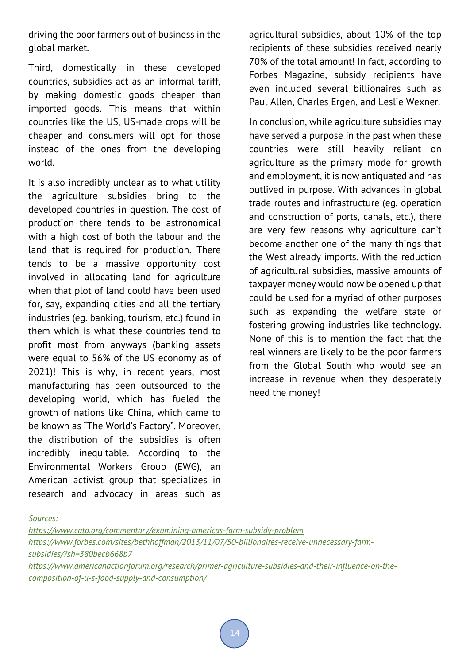driving the poor farmers out of business in the global market.

Third, domestically in these developed countries, subsidies act as an informal tariff, by making domestic goods cheaper than imported goods. This means that within countries like the US, US-made crops will be cheaper and consumers will opt for those instead of the ones from the developing world.

It is also incredibly unclear as to what utility the agriculture subsidies bring to the developed countries in question. The cost of production there tends to be astronomical with a high cost of both the labour and the land that is required for production. There tends to be a massive opportunity cost involved in allocating land for agriculture when that plot of land could have been used for, say, expanding cities and all the tertiary industries (eg. banking, tourism, etc.) found in them which is what these countries tend to profit most from anyways (banking assets were equal to 56% of the US economy as of 2021)! This is why, in recent years, most manufacturing has been outsourced to the developing world, which has fueled the growth of nations like China, which came to be known as "The World's Factory". Moreover, the distribution of the subsidies is often incredibly inequitable. According to the Environmental Workers Group (EWG), an American activist group that specializes in research and advocacy in areas such as

agricultural subsidies, about 10% of the top recipients of these subsidies received nearly 70% of the total amount! In fact, according to Forbes Magazine, subsidy recipients have even included several billionaires such as Paul Allen, Charles Ergen, and Leslie Wexner.

In conclusion, while agriculture subsidies may have served a purpose in the past when these countries were still heavily reliant on agriculture as the primary mode for growth and employment, it is now antiquated and has outlived in purpose. With advances in global trade routes and infrastructure (eg. operation and construction of ports, canals, etc.), there are very few reasons why agriculture can't become another one of the many things that the West already imports. With the reduction of agricultural subsidies, massive amounts of taxpayer money would now be opened up that could be used for a myriad of other purposes such as expanding the welfare state or fostering growing industries like technology. None of this is to mention the fact that the real winners are likely to be the poor farmers from the Global South who would see an increase in revenue when they desperately need the money!

*Sources:*

*https://www.cato.org/commentary/examining-americas-farm-subsidy-problem https://www.forbes.com/sites/bethhoffman/2013/11/07/50-billionaires-receive-unnecessary-farmsubsidies/?sh=380becb668b7 https://www.americanactionforum.org/research/primer-agriculture-subsidies-and-their-influence-on-thecomposition-of-u-s-food-supply-and-consumption/*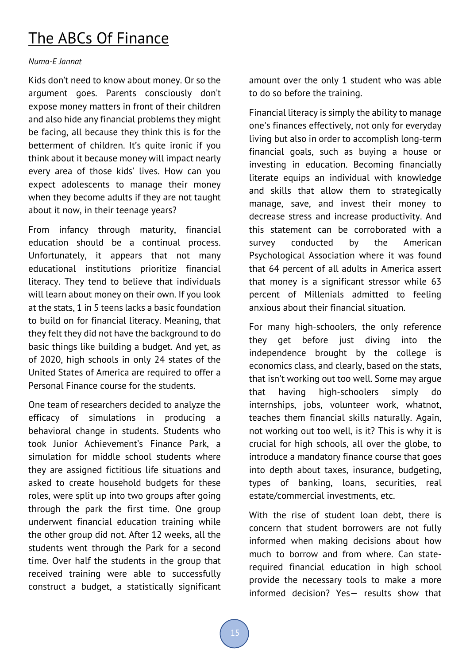### The ABCs Of Finance

#### *Numa-E Jannat*

Kids don't need to know about money. Or so the argument goes. Parents consciously don't expose money matters in front of their children and also hide any financial problems they might be facing, all because they think this is for the betterment of children. It's quite ironic if you think about it because money will impact nearly every area of those kids' lives. How can you expect adolescents to manage their money when they become adults if they are not taught about it now, in their teenage years?

From infancy through maturity, financial education should be a continual process. Unfortunately, it appears that not many educational institutions prioritize financial literacy. They tend to believe that individuals will learn about money on their own. If you look at the stats, 1 in 5 teens lacks a basic foundation to build on for financial literacy. Meaning, that they felt they did not have the background to do basic things like building a budget. And yet, as of 2020, high schools in only 24 states of the United States of America are required to offer a Personal Finance course for the students.

One team of researchers decided to analyze the efficacy of simulations in producing a behavioral change in students. Students who took Junior Achievement's Finance Park, a simulation for middle school students where they are assigned fictitious life situations and asked to create household budgets for these roles, were split up into two groups after going through the park the first time. One group underwent financial education training while the other group did not. After 12 weeks, all the students went through the Park for a second time. Over half the students in the group that received training were able to successfully construct a budget, a statistically significant amount over the only 1 student who was able to do so before the training.

Financial literacy is simply the ability to manage one's finances effectively, not only for everyday living but also in order to accomplish long-term financial goals, such as buying a house or investing in education. Becoming financially literate equips an individual with knowledge and skills that allow them to strategically manage, save, and invest their money to decrease stress and increase productivity. And this statement can be corroborated with a survey conducted by the American Psychological Association where it was found that 64 percent of all adults in America assert that money is a significant stressor while 63 percent of Millenials admitted to feeling anxious about their financial situation.

For many high-schoolers, the only reference they get before just diving into the independence brought by the college is economics class, and clearly, based on the stats, that isn't working out too well. Some may argue that having high-schoolers simply do internships, jobs, volunteer work, whatnot, teaches them financial skills naturally. Again, not working out too well, is it? This is why it is crucial for high schools, all over the globe, to introduce a mandatory finance course that goes into depth about taxes, insurance, budgeting, types of banking, loans, securities, real estate/commercial investments, etc.

With the rise of student loan debt, there is concern that student borrowers are not fully informed when making decisions about how much to borrow and from where. Can staterequired financial education in high school provide the necessary tools to make a more informed decision? Yes— results show that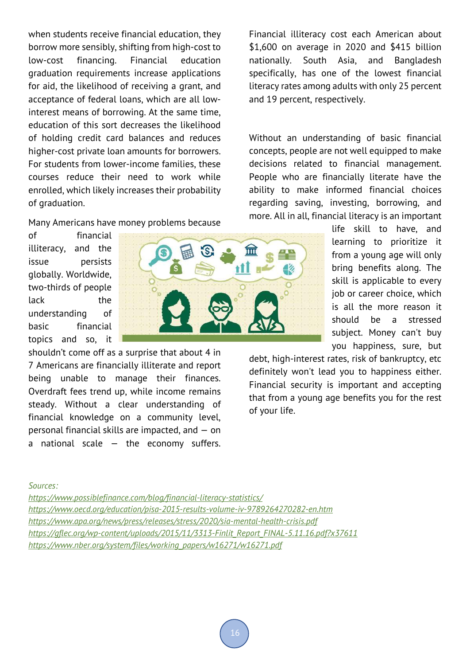when students receive financial education, they borrow more sensibly, shifting from high-cost to low-cost financing. Financial education graduation requirements increase applications for aid, the likelihood of receiving a grant, and acceptance of federal loans, which are all lowinterest means of borrowing. At the same time, education of this sort decreases the likelihood of holding credit card balances and reduces higher-cost private loan amounts for borrowers. For students from lower-income families, these courses reduce their need to work while enrolled, which likely increases their probability of graduation.

#### Many Americans have money problems because

of financial illiteracy, and the issue persists globally. Worldwide, two-thirds of people lack the understanding of basic financial topics and so, it

shouldn't come off as a surprise that about 4 in 7 Americans are financially illiterate and report being unable to manage their finances. Overdraft fees trend up, while income remains steady. Without a clear understanding of financial knowledge on a community level, personal financial skills are impacted, and — on a national scale  $-$  the economy suffers.



Financial illiteracy cost each American about \$1,600 on average in 2020 and \$415 billion nationally. South Asia, and Bangladesh specifically, has one of the lowest financial literacy rates among adults with only 25 percent and 19 percent, respectively.

Without an understanding of basic financial concepts, people are not well equipped to make decisions related to financial management. People who are financially literate have the ability to make informed financial choices regarding saving, investing, borrowing, and more. All in all, financial literacy is an important

> life skill to have, and learning to prioritize it from a young age will only bring benefits along. The skill is applicable to every job or career choice, which is all the more reason it should be a stressed subject. Money can't buy you happiness, sure, but

debt, high-interest rates, risk of bankruptcy, etc definitely won't lead you to happiness either. Financial security is important and accepting that from a young age benefits you for the rest of your life.

#### *Sources:*

*https://www.possiblefinance.com/blog/financial-literacy-statistics/ https://www.oecd.org/education/pisa-2015-results-volume-iv-9789264270282-en.htm https://www.apa.org/news/press/releases/stress/2020/sia-mental-health-crisis.pdf https://gflec.org/wp-content/uploads/2015/11/3313-Finlit\_Report\_FINAL-5.11.16.pdf?x37611 https://www.nber.org/system/files/working\_papers/w16271/w16271.pdf*